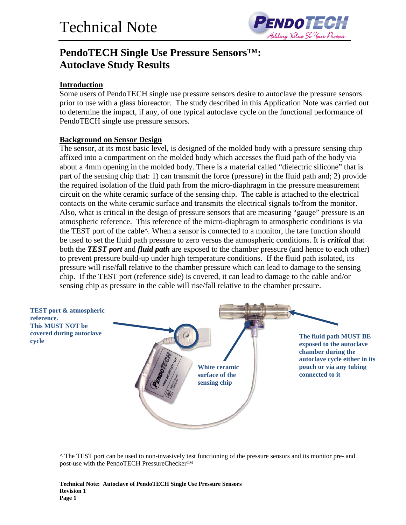

## **PendoTECH Single Use Pressure Sensors™: Autoclave Study Results**

#### **Introduction**

Some users of PendoTECH single use pressure sensors desire to autoclave the pressure sensors prior to use with a glass bioreactor. The study described in this Application Note was carried out to determine the impact, if any, of one typical autoclave cycle on the functional performance of PendoTECH single use pressure sensors.

#### **Background on Sensor Design**

The sensor, at its most basic level, is designed of the molded body with a pressure sensing chip affixed into a compartment on the molded body which accesses the fluid path of the body via about a 4mm opening in the molded body. There is a material called "dielectric silicone" that is part of the sensing chip that: 1) can transmit the force (pressure) in the fluid path and; 2) provide the required isolation of the fluid path from the micro-diaphragm in the pressure measurement circuit on the white ceramic surface of the sensing chip. The cable is attached to the electrical contacts on the white ceramic surface and transmits the electrical signals to/from the monitor. Also, what is critical in the design of pressure sensors that are measuring "gauge" pressure is an atmospheric reference. This reference of the micro-diaphragm to atmospheric conditions is via the TEST port of the cable^. When a sensor is connected to a monitor, the tare function should be used to set the fluid path pressure to zero versus the atmospheric conditions. It is *critical* that both the *TEST port* and *fluid path* are exposed to the chamber pressure (and hence to each other) to prevent pressure build-up under high temperature conditions. If the fluid path isolated, its pressure will rise/fall relative to the chamber pressure which can lead to damage to the sensing chip. If the TEST port (reference side) is covered, it can lead to damage to the cable and/or sensing chip as pressure in the cable will rise/fall relative to the chamber pressure.



^ The TEST port can be used to non-invasively test functioning of the pressure sensors and its monitor pre- and post-use with the PendoTECH PressureChecker™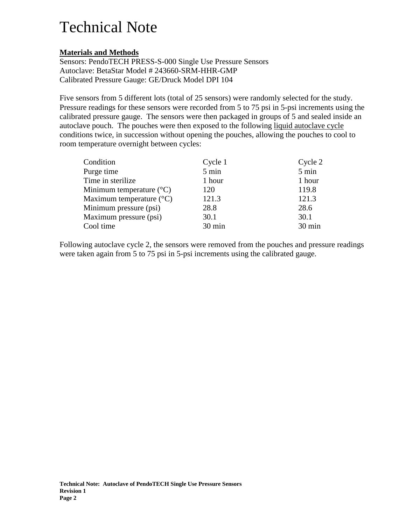### **Materials and Methods**

Sensors: PendoTECH PRESS-S-000 Single Use Pressure Sensors Autoclave: BetaStar Model # 243660-SRM-HHR-GMP Calibrated Pressure Gauge: GE/Druck Model DPI 104

Five sensors from 5 different lots (total of 25 sensors) were randomly selected for the study. Pressure readings for these sensors were recorded from 5 to 75 psi in 5-psi increments using the calibrated pressure gauge. The sensors were then packaged in groups of 5 and sealed inside an autoclave pouch. The pouches were then exposed to the following liquid autoclave cycle conditions twice, in succession without opening the pouches, allowing the pouches to cool to room temperature overnight between cycles:

| Condition                           | Cycle 1 | Cycle 2 |
|-------------------------------------|---------|---------|
| Purge time                          | 5 min   | 5 min   |
| Time in sterilize                   | 1 hour  | 1 hour  |
| Minimum temperature $({}^{\circ}C)$ | 120     | 119.8   |
| Maximum temperature $(^{\circ}C)$   | 121.3   | 121.3   |
| Minimum pressure (psi)              | 28.8    | 28.6    |
| Maximum pressure (psi)              | 30.1    | 30.1    |
| Cool time                           | 30 min  | 30 min  |

Following autoclave cycle 2, the sensors were removed from the pouches and pressure readings were taken again from 5 to 75 psi in 5-psi increments using the calibrated gauge.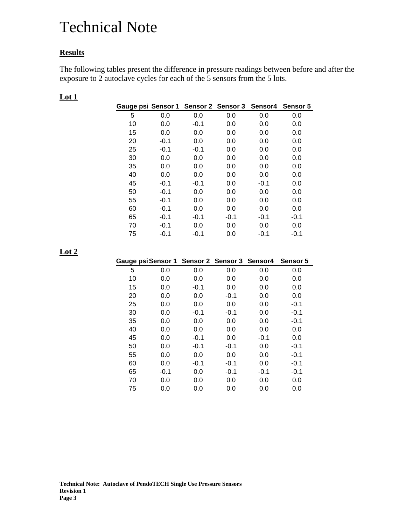### **Results**

The following tables present the difference in pressure readings between before and after the exposure to 2 autoclave cycles for each of the 5 sensors from the 5 lots.

| Gauge psi Sensor 1 Sensor 2 Sensor 3 Sensor 4 Sensor 5 |        |        |        |        |        |
|--------------------------------------------------------|--------|--------|--------|--------|--------|
| 5                                                      | 0.0    | 0.0    | 0.0    | 0.0    | 0.0    |
| 10                                                     | 0.0    | $-0.1$ | 0.0    | 0.0    | 0.0    |
| 15                                                     | 0.0    | 0.0    | 0.0    | 0.0    | 0.0    |
| 20                                                     | $-0.1$ | 0.0    | 0.0    | 0.0    | 0.0    |
| 25                                                     | $-0.1$ | $-0.1$ | 0.0    | 0.0    | 0.0    |
| 30                                                     | 0.0    | 0.0    | 0.0    | 0.0    | 0.0    |
| 35                                                     | 0.0    | 0.0    | 0.0    | 0.0    | 0.0    |
| 40                                                     | 0.0    | 0.0    | 0.0    | 0.0    | 0.0    |
| 45                                                     | $-0.1$ | $-0.1$ | 0.0    | $-0.1$ | 0.0    |
| 50                                                     | $-0.1$ | 0.0    | 0.0    | 0.0    | 0.0    |
| 55                                                     | $-0.1$ | 0.0    | 0.0    | 0.0    | 0.0    |
| 60                                                     | $-0.1$ | 0.0    | 0.0    | 0.0    | 0.0    |
| 65                                                     | $-0.1$ | $-0.1$ | $-0.1$ | $-0.1$ | $-0.1$ |
| 70                                                     | $-0.1$ | 0.0    | 0.0    | 0.0    | 0.0    |
| 75                                                     | $-0.1$ | -0.1   | 0.0    | $-0.1$ | $-0.1$ |

### **Lot 1**

### **Lot 2**

| Gauge psi Sensor 1 Sensor 2 Sensor 3 Sensor 4 |        |        |        |        | Sensor 5 |
|-----------------------------------------------|--------|--------|--------|--------|----------|
| 5                                             | 0.0    | 0.0    | 0.0    | 0.0    | 0.0      |
| 10                                            | 0.0    | 0.0    | 0.0    | 0.0    | 0.0      |
| 15                                            | 0.0    | $-0.1$ | 0.0    | 0.0    | 0.0      |
| 20                                            | 0.0    | 0.0    | $-0.1$ | 0.0    | 0.0      |
| 25                                            | 0.0    | 0.0    | 0.0    | 0.0    | $-0.1$   |
| 30                                            | 0.0    | $-0.1$ | $-0.1$ | 0.0    | $-0.1$   |
| 35                                            | 0.0    | 0.0    | 0.0    | 0.0    | $-0.1$   |
| 40                                            | 0.0    | 0.0    | 0.0    | 0.0    | 0.0      |
| 45                                            | 0.0    | $-0.1$ | 0.0    | $-0.1$ | 0.0      |
| 50                                            | 0.0    | $-0.1$ | $-0.1$ | 0.0    | $-0.1$   |
| 55                                            | 0.0    | 0.0    | 0.0    | 0.0    | $-0.1$   |
| 60                                            | 0.0    | $-0.1$ | $-0.1$ | 0.0    | $-0.1$   |
| 65                                            | $-0.1$ | 0.0    | $-0.1$ | $-0.1$ | $-0.1$   |
| 70                                            | 0.0    | 0.0    | 0.0    | 0.0    | 0.0      |
| 75                                            | 0.0    | 0.0    | 0.0    | 0.0    | 0.0      |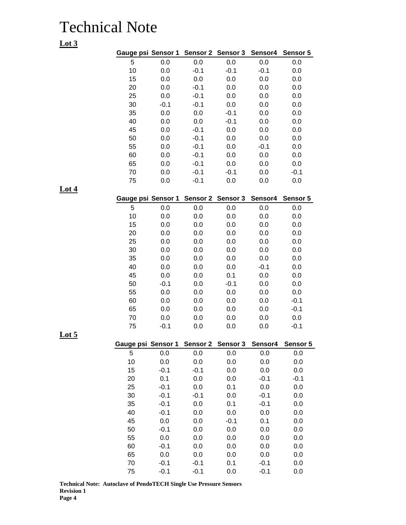| 5<br>0.0<br>0.0<br>0.0<br>0.0<br>0.0<br>10<br>0.0<br>$-0.1$<br>$-0.1$<br>$-0.1$<br>0.0<br>15<br>0.0<br>0.0<br>$0.0\,$<br>0.0<br>0.0<br>20<br>0.0<br>$-0.1$<br>0.0<br>0.0<br>0.0<br>25<br>0.0<br>$-0.1$<br>0.0<br>0.0<br>0.0<br>30<br>$-0.1$<br>$-0.1$<br>0.0<br>0.0<br>0.0<br>35<br>0.0<br>0.0<br>$-0.1$<br>0.0<br>0.0<br>40<br>0.0<br>0.0<br>$-0.1$<br>0.0<br>0.0<br>45<br>0.0<br>$-0.1$<br>0.0<br>0.0<br>0.0<br>50<br>0.0<br>$-0.1$<br>0.0<br>0.0<br>0.0<br>55<br>0.0<br>$-0.1$<br>0.0<br>$-0.1$<br>0.0<br>60<br>0.0<br>$-0.1$<br>0.0<br>0.0<br>0.0<br>65<br>0.0<br>$-0.1$<br>0.0<br>0.0<br>0.0<br>70<br>0.0<br>$-0.1$<br>$-0.1$<br>0.0<br>$-0.1$<br>75<br>0.0<br>$-0.1$<br>0.0<br>0.0<br>0.0<br>Gauge psi Sensor 1<br>Sensor 2 Sensor 3<br>Sensor4<br>Sensor 5<br>5<br>0.0<br>0.0<br>0.0<br>0.0<br>0.0<br>10<br>0.0<br>0.0<br>0.0<br>0.0<br>0.0<br>15<br>0.0<br>0.0<br>0.0<br>0.0<br>0.0<br>0.0<br>20<br>0.0<br>0.0<br>0.0<br>0.0<br>25<br>0.0<br>0.0<br>0.0<br>0.0<br>0.0<br>30<br>0.0<br>0.0<br>0.0<br>0.0<br>0.0<br>35<br>0.0<br>0.0<br>0.0<br>0.0<br>0.0<br>40<br>0.0<br>0.0<br>0.0<br>$-0.1$<br>0.0<br>45<br>0.0<br>0.0<br>0.1<br>0.0<br>0.0<br>50<br>$-0.1$<br>0.0<br>$-0.1$<br>0.0<br>0.0<br>55<br>0.0<br>0.0<br>0.0<br>0.0<br>0.0<br>60<br>0.0<br>0.0<br>$-0.1$<br>0.0<br>0.0<br>65<br>0.0<br>0.0<br>0.0<br>0.0<br>$-0.1$<br>70<br>0.0<br>0.0<br>0.0<br>0.0<br>0.0<br>75<br>$-0.1$<br>0.0<br>0.0<br>0.0<br>$-0.1$<br>Sensor <sub>2</sub><br>Sensor 3<br>Sensor4<br>Gauge psi<br>Sensor 1<br>5<br>0.0<br>0.0<br>0.0<br>0.0<br>0.0<br>10<br>0.0<br>0.0<br>0.0<br>0.0<br>0.0<br>15<br>$-0.1$<br>$-0.1$<br>0.0<br>0.0<br>0.0<br>20<br>0.1<br>0.0<br>0.0<br>$-0.1$<br>$-0.1$<br>25<br>$-0.1$<br>0.0<br>0.1<br>0.0<br>0.0<br>30<br>$-0.1$<br>$-0.1$<br>0.0<br>$-0.1$<br>0.0<br>35<br>$-0.1$<br>0.0<br>0.1<br>$-0.1$<br>0.0<br>40<br>$-0.1$<br>0.0<br>0.0<br>0.0<br>0.0<br>45<br>0.0<br>0.0<br>$-0.1$<br>0.1<br>0.0<br>50<br>$-0.1$<br>0.0<br>0.0<br>0.0<br>0.0<br>55<br>0.0<br>0.0<br>0.0<br>0.0<br>0.0<br>60<br>$-0.1$<br>0.0<br>0.0<br>0.0<br>0.0<br>65<br>0.0<br>0.0<br>0.0<br>0.0<br>0.0<br>70<br>$-0.1$<br>$-0.1$<br>0.1<br>$-0.1$<br>0.0 | Gauge psi Sensor 1 |        |        | Sensor 2 Sensor 3 | Sensor4 | Sensor 5 |
|-----------------------------------------------------------------------------------------------------------------------------------------------------------------------------------------------------------------------------------------------------------------------------------------------------------------------------------------------------------------------------------------------------------------------------------------------------------------------------------------------------------------------------------------------------------------------------------------------------------------------------------------------------------------------------------------------------------------------------------------------------------------------------------------------------------------------------------------------------------------------------------------------------------------------------------------------------------------------------------------------------------------------------------------------------------------------------------------------------------------------------------------------------------------------------------------------------------------------------------------------------------------------------------------------------------------------------------------------------------------------------------------------------------------------------------------------------------------------------------------------------------------------------------------------------------------------------------------------------------------------------------------------------------------------------------------------------------------------------------------------------------------------------------------------------------------------------------------------------------------------------------------------------------------------------------------------------------------------------------------------------------------------------------------------------------------------------------------------------------------------------------------------------|--------------------|--------|--------|-------------------|---------|----------|
|                                                                                                                                                                                                                                                                                                                                                                                                                                                                                                                                                                                                                                                                                                                                                                                                                                                                                                                                                                                                                                                                                                                                                                                                                                                                                                                                                                                                                                                                                                                                                                                                                                                                                                                                                                                                                                                                                                                                                                                                                                                                                                                                                     |                    |        |        |                   |         |          |
|                                                                                                                                                                                                                                                                                                                                                                                                                                                                                                                                                                                                                                                                                                                                                                                                                                                                                                                                                                                                                                                                                                                                                                                                                                                                                                                                                                                                                                                                                                                                                                                                                                                                                                                                                                                                                                                                                                                                                                                                                                                                                                                                                     |                    |        |        |                   |         |          |
|                                                                                                                                                                                                                                                                                                                                                                                                                                                                                                                                                                                                                                                                                                                                                                                                                                                                                                                                                                                                                                                                                                                                                                                                                                                                                                                                                                                                                                                                                                                                                                                                                                                                                                                                                                                                                                                                                                                                                                                                                                                                                                                                                     |                    |        |        |                   |         |          |
|                                                                                                                                                                                                                                                                                                                                                                                                                                                                                                                                                                                                                                                                                                                                                                                                                                                                                                                                                                                                                                                                                                                                                                                                                                                                                                                                                                                                                                                                                                                                                                                                                                                                                                                                                                                                                                                                                                                                                                                                                                                                                                                                                     |                    |        |        |                   |         |          |
|                                                                                                                                                                                                                                                                                                                                                                                                                                                                                                                                                                                                                                                                                                                                                                                                                                                                                                                                                                                                                                                                                                                                                                                                                                                                                                                                                                                                                                                                                                                                                                                                                                                                                                                                                                                                                                                                                                                                                                                                                                                                                                                                                     |                    |        |        |                   |         |          |
|                                                                                                                                                                                                                                                                                                                                                                                                                                                                                                                                                                                                                                                                                                                                                                                                                                                                                                                                                                                                                                                                                                                                                                                                                                                                                                                                                                                                                                                                                                                                                                                                                                                                                                                                                                                                                                                                                                                                                                                                                                                                                                                                                     |                    |        |        |                   |         |          |
|                                                                                                                                                                                                                                                                                                                                                                                                                                                                                                                                                                                                                                                                                                                                                                                                                                                                                                                                                                                                                                                                                                                                                                                                                                                                                                                                                                                                                                                                                                                                                                                                                                                                                                                                                                                                                                                                                                                                                                                                                                                                                                                                                     |                    |        |        |                   |         |          |
|                                                                                                                                                                                                                                                                                                                                                                                                                                                                                                                                                                                                                                                                                                                                                                                                                                                                                                                                                                                                                                                                                                                                                                                                                                                                                                                                                                                                                                                                                                                                                                                                                                                                                                                                                                                                                                                                                                                                                                                                                                                                                                                                                     |                    |        |        |                   |         |          |
|                                                                                                                                                                                                                                                                                                                                                                                                                                                                                                                                                                                                                                                                                                                                                                                                                                                                                                                                                                                                                                                                                                                                                                                                                                                                                                                                                                                                                                                                                                                                                                                                                                                                                                                                                                                                                                                                                                                                                                                                                                                                                                                                                     |                    |        |        |                   |         |          |
|                                                                                                                                                                                                                                                                                                                                                                                                                                                                                                                                                                                                                                                                                                                                                                                                                                                                                                                                                                                                                                                                                                                                                                                                                                                                                                                                                                                                                                                                                                                                                                                                                                                                                                                                                                                                                                                                                                                                                                                                                                                                                                                                                     |                    |        |        |                   |         |          |
|                                                                                                                                                                                                                                                                                                                                                                                                                                                                                                                                                                                                                                                                                                                                                                                                                                                                                                                                                                                                                                                                                                                                                                                                                                                                                                                                                                                                                                                                                                                                                                                                                                                                                                                                                                                                                                                                                                                                                                                                                                                                                                                                                     |                    |        |        |                   |         |          |
|                                                                                                                                                                                                                                                                                                                                                                                                                                                                                                                                                                                                                                                                                                                                                                                                                                                                                                                                                                                                                                                                                                                                                                                                                                                                                                                                                                                                                                                                                                                                                                                                                                                                                                                                                                                                                                                                                                                                                                                                                                                                                                                                                     |                    |        |        |                   |         |          |
|                                                                                                                                                                                                                                                                                                                                                                                                                                                                                                                                                                                                                                                                                                                                                                                                                                                                                                                                                                                                                                                                                                                                                                                                                                                                                                                                                                                                                                                                                                                                                                                                                                                                                                                                                                                                                                                                                                                                                                                                                                                                                                                                                     |                    |        |        |                   |         |          |
|                                                                                                                                                                                                                                                                                                                                                                                                                                                                                                                                                                                                                                                                                                                                                                                                                                                                                                                                                                                                                                                                                                                                                                                                                                                                                                                                                                                                                                                                                                                                                                                                                                                                                                                                                                                                                                                                                                                                                                                                                                                                                                                                                     |                    |        |        |                   |         |          |
|                                                                                                                                                                                                                                                                                                                                                                                                                                                                                                                                                                                                                                                                                                                                                                                                                                                                                                                                                                                                                                                                                                                                                                                                                                                                                                                                                                                                                                                                                                                                                                                                                                                                                                                                                                                                                                                                                                                                                                                                                                                                                                                                                     |                    |        |        |                   |         |          |
|                                                                                                                                                                                                                                                                                                                                                                                                                                                                                                                                                                                                                                                                                                                                                                                                                                                                                                                                                                                                                                                                                                                                                                                                                                                                                                                                                                                                                                                                                                                                                                                                                                                                                                                                                                                                                                                                                                                                                                                                                                                                                                                                                     |                    |        |        |                   |         |          |
|                                                                                                                                                                                                                                                                                                                                                                                                                                                                                                                                                                                                                                                                                                                                                                                                                                                                                                                                                                                                                                                                                                                                                                                                                                                                                                                                                                                                                                                                                                                                                                                                                                                                                                                                                                                                                                                                                                                                                                                                                                                                                                                                                     |                    |        |        |                   |         |          |
|                                                                                                                                                                                                                                                                                                                                                                                                                                                                                                                                                                                                                                                                                                                                                                                                                                                                                                                                                                                                                                                                                                                                                                                                                                                                                                                                                                                                                                                                                                                                                                                                                                                                                                                                                                                                                                                                                                                                                                                                                                                                                                                                                     |                    |        |        |                   |         |          |
|                                                                                                                                                                                                                                                                                                                                                                                                                                                                                                                                                                                                                                                                                                                                                                                                                                                                                                                                                                                                                                                                                                                                                                                                                                                                                                                                                                                                                                                                                                                                                                                                                                                                                                                                                                                                                                                                                                                                                                                                                                                                                                                                                     |                    |        |        |                   |         |          |
|                                                                                                                                                                                                                                                                                                                                                                                                                                                                                                                                                                                                                                                                                                                                                                                                                                                                                                                                                                                                                                                                                                                                                                                                                                                                                                                                                                                                                                                                                                                                                                                                                                                                                                                                                                                                                                                                                                                                                                                                                                                                                                                                                     |                    |        |        |                   |         |          |
|                                                                                                                                                                                                                                                                                                                                                                                                                                                                                                                                                                                                                                                                                                                                                                                                                                                                                                                                                                                                                                                                                                                                                                                                                                                                                                                                                                                                                                                                                                                                                                                                                                                                                                                                                                                                                                                                                                                                                                                                                                                                                                                                                     |                    |        |        |                   |         |          |
|                                                                                                                                                                                                                                                                                                                                                                                                                                                                                                                                                                                                                                                                                                                                                                                                                                                                                                                                                                                                                                                                                                                                                                                                                                                                                                                                                                                                                                                                                                                                                                                                                                                                                                                                                                                                                                                                                                                                                                                                                                                                                                                                                     |                    |        |        |                   |         |          |
|                                                                                                                                                                                                                                                                                                                                                                                                                                                                                                                                                                                                                                                                                                                                                                                                                                                                                                                                                                                                                                                                                                                                                                                                                                                                                                                                                                                                                                                                                                                                                                                                                                                                                                                                                                                                                                                                                                                                                                                                                                                                                                                                                     |                    |        |        |                   |         |          |
|                                                                                                                                                                                                                                                                                                                                                                                                                                                                                                                                                                                                                                                                                                                                                                                                                                                                                                                                                                                                                                                                                                                                                                                                                                                                                                                                                                                                                                                                                                                                                                                                                                                                                                                                                                                                                                                                                                                                                                                                                                                                                                                                                     |                    |        |        |                   |         |          |
|                                                                                                                                                                                                                                                                                                                                                                                                                                                                                                                                                                                                                                                                                                                                                                                                                                                                                                                                                                                                                                                                                                                                                                                                                                                                                                                                                                                                                                                                                                                                                                                                                                                                                                                                                                                                                                                                                                                                                                                                                                                                                                                                                     |                    |        |        |                   |         |          |
|                                                                                                                                                                                                                                                                                                                                                                                                                                                                                                                                                                                                                                                                                                                                                                                                                                                                                                                                                                                                                                                                                                                                                                                                                                                                                                                                                                                                                                                                                                                                                                                                                                                                                                                                                                                                                                                                                                                                                                                                                                                                                                                                                     |                    |        |        |                   |         |          |
|                                                                                                                                                                                                                                                                                                                                                                                                                                                                                                                                                                                                                                                                                                                                                                                                                                                                                                                                                                                                                                                                                                                                                                                                                                                                                                                                                                                                                                                                                                                                                                                                                                                                                                                                                                                                                                                                                                                                                                                                                                                                                                                                                     |                    |        |        |                   |         |          |
|                                                                                                                                                                                                                                                                                                                                                                                                                                                                                                                                                                                                                                                                                                                                                                                                                                                                                                                                                                                                                                                                                                                                                                                                                                                                                                                                                                                                                                                                                                                                                                                                                                                                                                                                                                                                                                                                                                                                                                                                                                                                                                                                                     |                    |        |        |                   |         |          |
|                                                                                                                                                                                                                                                                                                                                                                                                                                                                                                                                                                                                                                                                                                                                                                                                                                                                                                                                                                                                                                                                                                                                                                                                                                                                                                                                                                                                                                                                                                                                                                                                                                                                                                                                                                                                                                                                                                                                                                                                                                                                                                                                                     |                    |        |        |                   |         |          |
|                                                                                                                                                                                                                                                                                                                                                                                                                                                                                                                                                                                                                                                                                                                                                                                                                                                                                                                                                                                                                                                                                                                                                                                                                                                                                                                                                                                                                                                                                                                                                                                                                                                                                                                                                                                                                                                                                                                                                                                                                                                                                                                                                     |                    |        |        |                   |         |          |
|                                                                                                                                                                                                                                                                                                                                                                                                                                                                                                                                                                                                                                                                                                                                                                                                                                                                                                                                                                                                                                                                                                                                                                                                                                                                                                                                                                                                                                                                                                                                                                                                                                                                                                                                                                                                                                                                                                                                                                                                                                                                                                                                                     |                    |        |        |                   |         |          |
|                                                                                                                                                                                                                                                                                                                                                                                                                                                                                                                                                                                                                                                                                                                                                                                                                                                                                                                                                                                                                                                                                                                                                                                                                                                                                                                                                                                                                                                                                                                                                                                                                                                                                                                                                                                                                                                                                                                                                                                                                                                                                                                                                     |                    |        |        |                   |         | Sensor 5 |
|                                                                                                                                                                                                                                                                                                                                                                                                                                                                                                                                                                                                                                                                                                                                                                                                                                                                                                                                                                                                                                                                                                                                                                                                                                                                                                                                                                                                                                                                                                                                                                                                                                                                                                                                                                                                                                                                                                                                                                                                                                                                                                                                                     |                    |        |        |                   |         |          |
|                                                                                                                                                                                                                                                                                                                                                                                                                                                                                                                                                                                                                                                                                                                                                                                                                                                                                                                                                                                                                                                                                                                                                                                                                                                                                                                                                                                                                                                                                                                                                                                                                                                                                                                                                                                                                                                                                                                                                                                                                                                                                                                                                     |                    |        |        |                   |         |          |
|                                                                                                                                                                                                                                                                                                                                                                                                                                                                                                                                                                                                                                                                                                                                                                                                                                                                                                                                                                                                                                                                                                                                                                                                                                                                                                                                                                                                                                                                                                                                                                                                                                                                                                                                                                                                                                                                                                                                                                                                                                                                                                                                                     |                    |        |        |                   |         |          |
|                                                                                                                                                                                                                                                                                                                                                                                                                                                                                                                                                                                                                                                                                                                                                                                                                                                                                                                                                                                                                                                                                                                                                                                                                                                                                                                                                                                                                                                                                                                                                                                                                                                                                                                                                                                                                                                                                                                                                                                                                                                                                                                                                     |                    |        |        |                   |         |          |
|                                                                                                                                                                                                                                                                                                                                                                                                                                                                                                                                                                                                                                                                                                                                                                                                                                                                                                                                                                                                                                                                                                                                                                                                                                                                                                                                                                                                                                                                                                                                                                                                                                                                                                                                                                                                                                                                                                                                                                                                                                                                                                                                                     |                    |        |        |                   |         |          |
|                                                                                                                                                                                                                                                                                                                                                                                                                                                                                                                                                                                                                                                                                                                                                                                                                                                                                                                                                                                                                                                                                                                                                                                                                                                                                                                                                                                                                                                                                                                                                                                                                                                                                                                                                                                                                                                                                                                                                                                                                                                                                                                                                     |                    |        |        |                   |         |          |
|                                                                                                                                                                                                                                                                                                                                                                                                                                                                                                                                                                                                                                                                                                                                                                                                                                                                                                                                                                                                                                                                                                                                                                                                                                                                                                                                                                                                                                                                                                                                                                                                                                                                                                                                                                                                                                                                                                                                                                                                                                                                                                                                                     |                    |        |        |                   |         |          |
|                                                                                                                                                                                                                                                                                                                                                                                                                                                                                                                                                                                                                                                                                                                                                                                                                                                                                                                                                                                                                                                                                                                                                                                                                                                                                                                                                                                                                                                                                                                                                                                                                                                                                                                                                                                                                                                                                                                                                                                                                                                                                                                                                     |                    |        |        |                   |         |          |
|                                                                                                                                                                                                                                                                                                                                                                                                                                                                                                                                                                                                                                                                                                                                                                                                                                                                                                                                                                                                                                                                                                                                                                                                                                                                                                                                                                                                                                                                                                                                                                                                                                                                                                                                                                                                                                                                                                                                                                                                                                                                                                                                                     |                    |        |        |                   |         |          |
|                                                                                                                                                                                                                                                                                                                                                                                                                                                                                                                                                                                                                                                                                                                                                                                                                                                                                                                                                                                                                                                                                                                                                                                                                                                                                                                                                                                                                                                                                                                                                                                                                                                                                                                                                                                                                                                                                                                                                                                                                                                                                                                                                     |                    |        |        |                   |         |          |
|                                                                                                                                                                                                                                                                                                                                                                                                                                                                                                                                                                                                                                                                                                                                                                                                                                                                                                                                                                                                                                                                                                                                                                                                                                                                                                                                                                                                                                                                                                                                                                                                                                                                                                                                                                                                                                                                                                                                                                                                                                                                                                                                                     |                    |        |        |                   |         |          |
|                                                                                                                                                                                                                                                                                                                                                                                                                                                                                                                                                                                                                                                                                                                                                                                                                                                                                                                                                                                                                                                                                                                                                                                                                                                                                                                                                                                                                                                                                                                                                                                                                                                                                                                                                                                                                                                                                                                                                                                                                                                                                                                                                     |                    |        |        |                   |         |          |
|                                                                                                                                                                                                                                                                                                                                                                                                                                                                                                                                                                                                                                                                                                                                                                                                                                                                                                                                                                                                                                                                                                                                                                                                                                                                                                                                                                                                                                                                                                                                                                                                                                                                                                                                                                                                                                                                                                                                                                                                                                                                                                                                                     |                    |        |        |                   |         |          |
|                                                                                                                                                                                                                                                                                                                                                                                                                                                                                                                                                                                                                                                                                                                                                                                                                                                                                                                                                                                                                                                                                                                                                                                                                                                                                                                                                                                                                                                                                                                                                                                                                                                                                                                                                                                                                                                                                                                                                                                                                                                                                                                                                     |                    |        |        |                   |         |          |
|                                                                                                                                                                                                                                                                                                                                                                                                                                                                                                                                                                                                                                                                                                                                                                                                                                                                                                                                                                                                                                                                                                                                                                                                                                                                                                                                                                                                                                                                                                                                                                                                                                                                                                                                                                                                                                                                                                                                                                                                                                                                                                                                                     | 75                 | $-0.1$ | $-0.1$ | 0.0               | $-0.1$  | 0.0      |

**Technical Note: Autoclave of PendoTECH Single Use Pressure Sensors Revision 1 Page 4**

| ۰. |
|----|
|----|

**Lot 5**